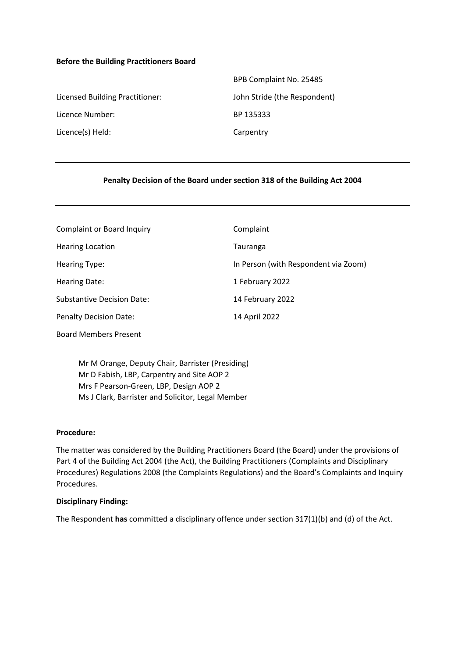#### **Before the Building Practitioners Board**

|                                 | BPB Complaint No. 25485      |
|---------------------------------|------------------------------|
| Licensed Building Practitioner: | John Stride (the Respondent) |
| Licence Number:                 | BP 135333                    |
| Licence(s) Held:                | Carpentry                    |

#### **Penalty Decision of the Board under section 318 of the Building Act 2004**

| <b>Complaint or Board Inquiry</b> | Complaint                            |
|-----------------------------------|--------------------------------------|
| <b>Hearing Location</b>           | Tauranga                             |
| Hearing Type:                     | In Person (with Respondent via Zoom) |
| <b>Hearing Date:</b>              | 1 February 2022                      |
| <b>Substantive Decision Date:</b> | 14 February 2022                     |
| <b>Penalty Decision Date:</b>     | 14 April 2022                        |
| <b>Board Members Present</b>      |                                      |

Mr M Orange, Deputy Chair, Barrister (Presiding) Mr D Fabish, LBP, Carpentry and Site AOP 2 Mrs F Pearson-Green, LBP, Design AOP 2 Ms J Clark, Barrister and Solicitor, Legal Member

#### **Procedure:**

The matter was considered by the Building Practitioners Board (the Board) under the provisions of Part 4 of the Building Act 2004 (the Act), the Building Practitioners (Complaints and Disciplinary Procedures) Regulations 2008 (the Complaints Regulations) and the Board's Complaints and Inquiry Procedures.

#### **Disciplinary Finding:**

The Respondent **has** committed a disciplinary offence under section 317(1)(b) and (d) of the Act.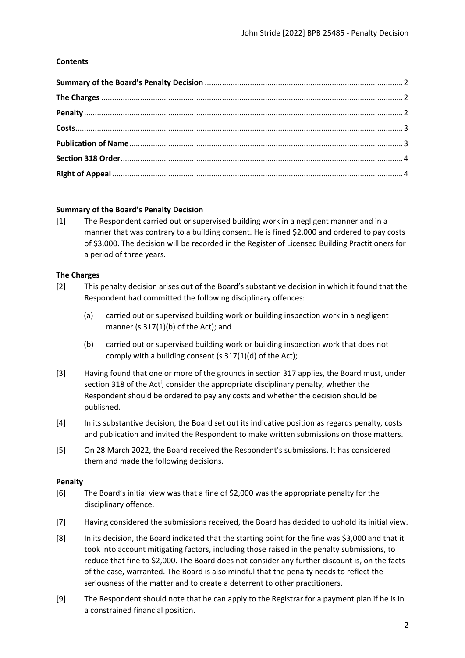#### **Contents**

#### <span id="page-1-0"></span>**Summary of the Board's Penalty Decision**

[1] The Respondent carried out or supervised building work in a negligent manner and in a manner that was contrary to a building consent. He is fined \$2,000 and ordered to pay costs of \$3,000. The decision will be recorded in the Register of Licensed Building Practitioners for a period of three years.

#### <span id="page-1-1"></span>**The Charges**

- [2] This penalty decision arises out of the Board's substantive decision in which it found that the Respondent had committed the following disciplinary offences:
	- (a) carried out or supervised building work or building inspection work in a negligent manner (s 317(1)(b) of the Act); and
	- (b) carried out or supervised building work or building inspection work that does not comply with a building consent (s 317(1)(d) of the Act);
- [3] Having found that one or more of the grounds in section 317 applies, the Board must, under section 318 of the Act<sup>i</sup>, consider the appropriate disciplinary penalty, whether the Respondent should be ordered to pay any costs and whether the decision should be published.
- [4] In its substantive decision, the Board set out its indicative position as regards penalty, costs and publication and invited the Respondent to make written submissions on those matters.
- [5] On 28 March 2022, the Board received the Respondent's submissions. It has considered them and made the following decisions.

#### <span id="page-1-2"></span>**Penalty**

- [6] The Board's initial view was that a fine of \$2,000 was the appropriate penalty for the disciplinary offence.
- [7] Having considered the submissions received, the Board has decided to uphold its initial view.
- [8] In its decision, the Board indicated that the starting point for the fine was \$3,000 and that it took into account mitigating factors, including those raised in the penalty submissions, to reduce that fine to \$2,000. The Board does not consider any further discount is, on the facts of the case, warranted. The Board is also mindful that the penalty needs to reflect the seriousness of the matter and to create a deterrent to other practitioners.
- [9] The Respondent should note that he can apply to the Registrar for a payment plan if he is in a constrained financial position.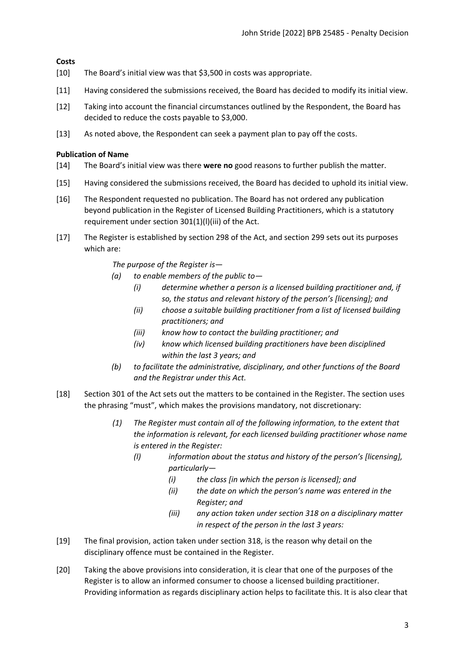## <span id="page-2-0"></span>**Costs**

- [10] The Board's initial view was that \$3,500 in costs was appropriate.
- [11] Having considered the submissions received, the Board has decided to modify its initial view.
- [12] Taking into account the financial circumstances outlined by the Respondent, the Board has decided to reduce the costs payable to \$3,000.
- [13] As noted above, the Respondent can seek a payment plan to pay off the costs.

#### <span id="page-2-1"></span>**Publication of Name**

- [14] The Board's initial view was there **were no** good reasons to further publish the matter.
- [15] Having considered the submissions received, the Board has decided to uphold its initial view.
- [16] The Respondent requested no publication. The Board has not ordered any publication beyond publication in the Register of Licensed Building Practitioners, which is a statutory requirement under section 301(1)(l)(iii) of the Act.
- [17] The Register is established by section 298 of the Act, and section 299 sets out its purposes which are:

*The purpose of the Register is—*

- *(a) to enable members of the public to—*
	- *(i) determine whether a person is a licensed building practitioner and, if so, the status and relevant history of the person's [licensing]; and*
	- *(ii) choose a suitable building practitioner from a list of licensed building practitioners; and*
	- *(iii) know how to contact the building practitioner; and*
	- *(iv) know which licensed building practitioners have been disciplined within the last 3 years; and*
- *(b) to facilitate the administrative, disciplinary, and other functions of the Board and the Registrar under this Act.*
- [18] Section 301 of the Act sets out the matters to be contained in the Register. The section uses the phrasing "must", which makes the provisions mandatory, not discretionary:
	- *(1) The Register must contain all of the following information, to the extent that the information is relevant, for each licensed building practitioner whose name is entered in the Register:*
		- *(l) information about the status and history of the person's [licensing], particularly—*
			- *(i) the class [in which the person is licensed]; and*
			- *(ii) the date on which the person's name was entered in the Register; and*
			- *(iii) any action taken under section [318](http://www.westlaw.co.nz/maf/wlnz/app/document?docguid=Idfae01b4e12411e08eefa443f89988a0&&src=rl&hitguid=I59069659e03411e08eefa443f89988a0&snippets=true&startChunk=1&endChunk=1&isTocNav=true&tocDs=AUNZ_NZ_LEGCOMM_TOC#anchor_I59069659e03411e08eefa443f89988a0) on a disciplinary matter in respect of the person in the last 3 years:*
- [19] The final provision, action taken under section 318, is the reason why detail on the disciplinary offence must be contained in the Register.
- [20] Taking the above provisions into consideration, it is clear that one of the purposes of the Register is to allow an informed consumer to choose a licensed building practitioner. Providing information as regards disciplinary action helps to facilitate this. It is also clear that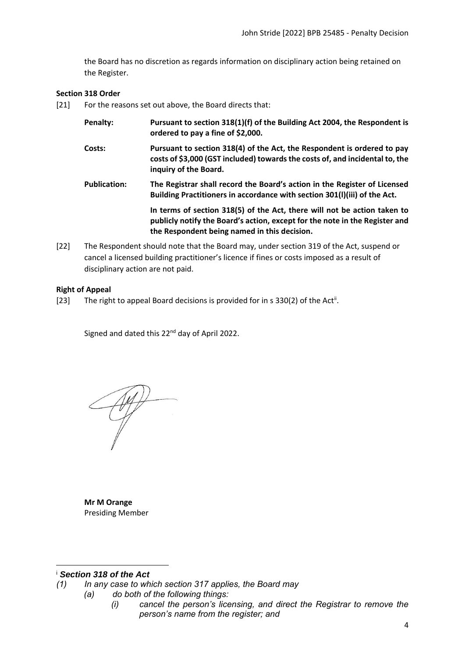the Board has no discretion as regards information on disciplinary action being retained on the Register.

## <span id="page-3-0"></span>**Section 318 Order**

[21] For the reasons set out above, the Board directs that:

| Penalty:            | Pursuant to section 318(1)(f) of the Building Act 2004, the Respondent is<br>ordered to pay a fine of \$2,000.                                                                                          |
|---------------------|---------------------------------------------------------------------------------------------------------------------------------------------------------------------------------------------------------|
| Costs:              | Pursuant to section 318(4) of the Act, the Respondent is ordered to pay<br>costs of \$3,000 (GST included) towards the costs of, and incidental to, the<br>inguiry of the Board.                        |
| <b>Publication:</b> | The Registrar shall record the Board's action in the Register of Licensed<br>Building Practitioners in accordance with section 301(I)(iii) of the Act.                                                  |
|                     | In terms of section 318(5) of the Act, there will not be action taken to<br>publicly notify the Board's action, except for the note in the Register and<br>the Respondent being named in this decision. |

[22] The Respondent should note that the Board may, under section 319 of the Act, suspend or cancel a licensed building practitioner's licence if fines or costs imposed as a result of disciplinary action are not paid.

### <span id="page-3-1"></span>**Right of Appeal**

[23] The right to appeal Board decisions is provided for in s 330(2) of the Act<sup>ii</sup>.

Signed and dated this 22<sup>nd</sup> day of April 2022.

 $\begin{picture}(42,14) \put(0,0){\vector(0,1){30}} \put(15,0){\vector(0,1){30}} \put(15,0){\vector(0,1){30}} \put(15,0){\vector(0,1){30}} \put(15,0){\vector(0,1){30}} \put(15,0){\vector(0,1){30}} \put(15,0){\vector(0,1){30}} \put(15,0){\vector(0,1){30}} \put(15,0){\vector(0,1){30}} \put(15,0){\vector(0,1){30}} \put(15,0){\vector(0,1){30}} \put(15,0){\vector(0$ 

**Mr M Orange** Presiding Member

<sup>i</sup> *Section 318 of the Act*

- *(1) In any case to which section 317 applies, the Board may*
	- *(a) do both of the following things:*
		- *(i) cancel the person's licensing, and direct the Registrar to remove the person's name from the register; and*